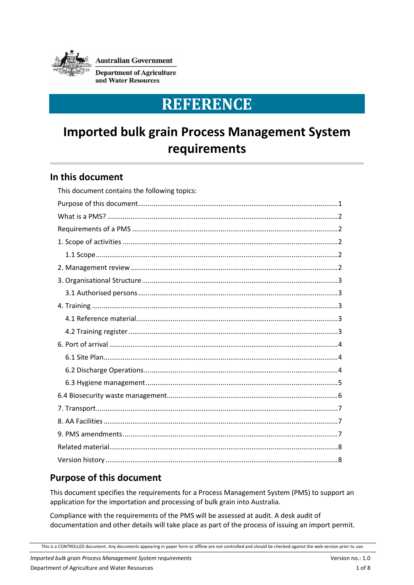

**Australian Government** 

**Department of Agriculture** and Water Resources

# **REFERENCE**

# **Imported bulk grain Process Management System requirements**

### **In this document**

| This document contains the following topics: |
|----------------------------------------------|
|                                              |
|                                              |
|                                              |
|                                              |
|                                              |
|                                              |
|                                              |
|                                              |
|                                              |
|                                              |
|                                              |
|                                              |
|                                              |
|                                              |
|                                              |
|                                              |
|                                              |
|                                              |
|                                              |
|                                              |
|                                              |

# <span id="page-0-0"></span>**Purpose of this document**

This document specifies the requirements for a Process Management System (PMS) to support an application for the importation and processing of bulk grain into Australia.

Compliance with the requirements of the PMS will be assessed at audit. A desk audit of documentation and other details will take place as part of the process of issuing an import permit.

This is a CONTROLLED document. Any documents appearing in paper form or offline are not controlled and should be checked against the web version prior to use.

*Imported bulk grain Process Management System requirements* Version no.: 1.0

Department of Agriculture and Water Resources 1 of 8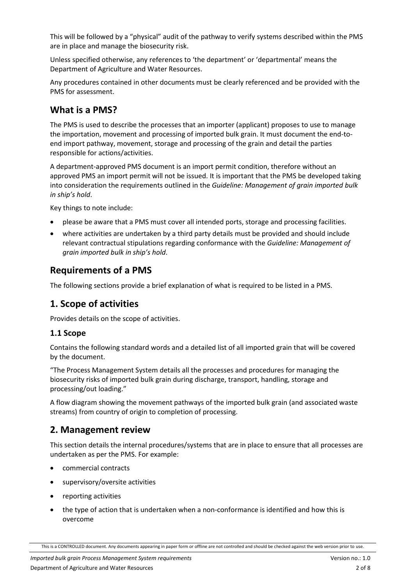This will be followed by a "physical" audit of the pathway to verify systems described within the PMS are in place and manage the biosecurity risk.

Unless specified otherwise, any references to 'the department' or 'departmental' means the Department of Agriculture and Water Resources.

Any procedures contained in other documents must be clearly referenced and be provided with the PMS for assessment.

## <span id="page-1-0"></span>**What is a PMS?**

The PMS is used to describe the processes that an importer (applicant) proposes to use to manage the importation, movement and processing of imported bulk grain. It must document the end-toend import pathway, movement, storage and processing of the grain and detail the parties responsible for actions/activities.

A department-approved PMS document is an import permit condition, therefore without an approved PMS an import permit will not be issued. It is important that the PMS be developed taking into consideration the requirements outlined in the *Guideline: Management of grain imported bulk in ship's hold*.

Key things to note include:

- please be aware that a PMS must cover all intended ports, storage and processing facilities.
- where activities are undertaken by a third party details must be provided and should include relevant contractual stipulations regarding conformance with the *Guideline: Management of grain imported bulk in ship's hold*.

## <span id="page-1-1"></span>**Requirements of a PMS**

The following sections provide a brief explanation of what is required to be listed in a PMS.

### <span id="page-1-2"></span>**1. Scope of activities**

Provides details on the scope of activities.

### <span id="page-1-3"></span>**1.1 Scope**

Contains the following standard words and a detailed list of all imported grain that will be covered by the document.

"The Process Management System details all the processes and procedures for managing the biosecurity risks of imported bulk grain during discharge, transport, handling, storage and processing/out loading."

A flow diagram showing the movement pathways of the imported bulk grain (and associated waste streams) from country of origin to completion of processing.

### <span id="page-1-4"></span>**2. Management review**

This section details the internal procedures/systems that are in place to ensure that all processes are undertaken as per the PMS. For example:

- commercial contracts
- supervisory/oversite activities
- reporting activities
- the type of action that is undertaken when a non-conformance is identified and how this is overcome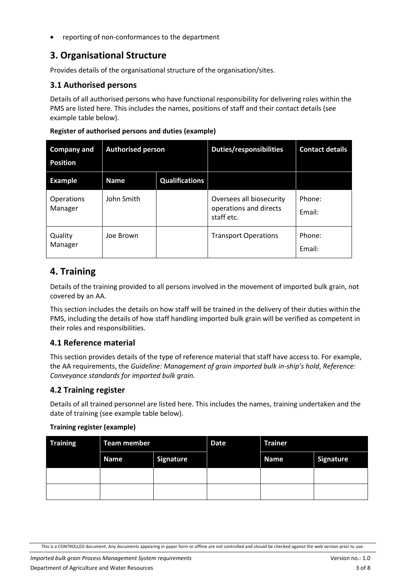reporting of non-conformances to the department

# <span id="page-2-0"></span>**3. Organisational Structure**

Provides details of the organisational structure of the organisation/sites.

### <span id="page-2-1"></span>**3.1 Authorised persons**

Details of all authorised persons who have functional responsibility for delivering roles within the PMS are listed here. This includes the names, positions of staff and their contact details (see example table below).

| <b>Company and</b><br><b>Position</b> | <b>Authorised person</b> |                       | <b>Duties/responsibilities</b>                                   | <b>Contact details</b> |
|---------------------------------------|--------------------------|-----------------------|------------------------------------------------------------------|------------------------|
| <b>Example</b>                        | <b>Name</b>              | <b>Qualifications</b> |                                                                  |                        |
| <b>Operations</b><br>Manager          | John Smith               |                       | Oversees all biosecurity<br>operations and directs<br>staff etc. | Phone:<br>Fmail:       |
| Quality<br>Manager                    | Joe Brown                |                       | <b>Transport Operations</b>                                      | Phone:<br>Fmail:       |

#### **Register of authorised persons and duties (example)**

### <span id="page-2-2"></span>**4. Training**

Details of the training provided to all persons involved in the movement of imported bulk grain, not covered by an AA.

This section includes the details on how staff will be trained in the delivery of their duties within the PMS, including the details of how staff handling imported bulk grain will be verified as competent in their roles and responsibilities.

### <span id="page-2-3"></span>**4.1 Reference material**

This section provides details of the type of reference material that staff have access to. For example, the AA requirements, the *Guideline: Management of grain imported bulk in-ship's hold*, *Reference: Conveyance standards for imported bulk grain*.

#### <span id="page-2-4"></span>**4.2 Training register**

Details of all trained personnel are listed here. This includes the names, training undertaken and the date of training (see example table below).

#### **Training register (example)**

| <b>Training</b> | <b>Team member</b> |                  | <b>Date</b> | <b>Trainer</b> |                  |
|-----------------|--------------------|------------------|-------------|----------------|------------------|
|                 | <b>Name</b>        | <b>Signature</b> |             | <b>Name</b>    | <b>Signature</b> |
|                 |                    |                  |             |                |                  |
|                 |                    |                  |             |                |                  |

This is a CONTROLLED document. Any documents appearing in paper form or offline are not controlled and should be checked against the web version prior to use.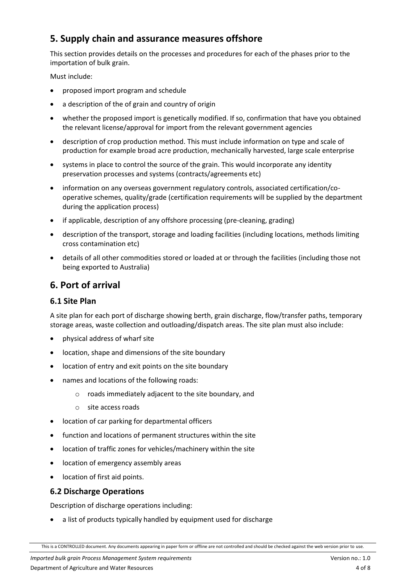# **5. Supply chain and assurance measures offshore**

This section provides details on the processes and procedures for each of the phases prior to the importation of bulk grain.

Must include:

- proposed import program and schedule
- a description of the of grain and country of origin
- whether the proposed import is genetically modified. If so, confirmation that have you obtained the relevant license/approval for import from the relevant government agencies
- description of crop production method. This must include information on type and scale of production for example broad acre production, mechanically harvested, large scale enterprise
- systems in place to control the source of the grain. This would incorporate any identity preservation processes and systems (contracts/agreements etc)
- information on any overseas government regulatory controls, associated certification/cooperative schemes, quality/grade (certification requirements will be supplied by the department during the application process)
- if applicable, description of any offshore processing (pre-cleaning, grading)
- description of the transport, storage and loading facilities (including locations, methods limiting cross contamination etc)
- details of all other commodities stored or loaded at or through the facilities (including those not being exported to Australia)

# <span id="page-3-0"></span>**6. Port of arrival**

#### <span id="page-3-1"></span>**6.1 Site Plan**

A site plan for each port of discharge showing berth, grain discharge, flow/transfer paths, temporary storage areas, waste collection and outloading/dispatch areas. The site plan must also include:

- physical address of wharf site
- location, shape and dimensions of the site boundary
- location of entry and exit points on the site boundary
- names and locations of the following roads:
	- o roads immediately adjacent to the site boundary, and
	- o site access roads
- location of car parking for departmental officers
- function and locations of permanent structures within the site
- location of traffic zones for vehicles/machinery within the site
- location of emergency assembly areas
- location of first aid points.

### <span id="page-3-2"></span>**6.2 Discharge Operations**

Description of discharge operations including:

a list of products typically handled by equipment used for discharge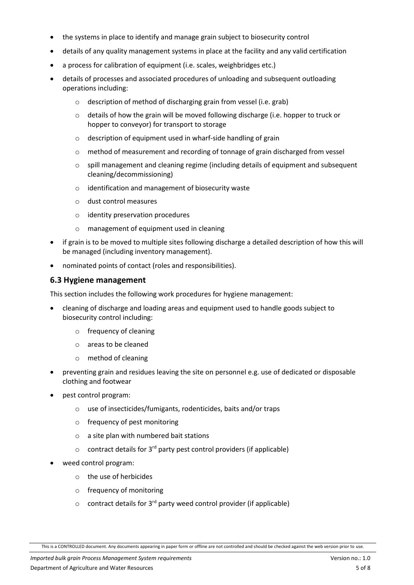- the systems in place to identify and manage grain subject to biosecurity control
- details of any quality management systems in place at the facility and any valid certification
- a process for calibration of equipment (i.e. scales, weighbridges etc.)
- details of processes and associated procedures of unloading and subsequent outloading operations including:
	- o description of method of discharging grain from vessel (i.e. grab)
	- $\circ$  details of how the grain will be moved following discharge (i.e. hopper to truck or hopper to conveyor) for transport to storage
	- o description of equipment used in wharf-side handling of grain
	- o method of measurement and recording of tonnage of grain discharged from vessel
	- o spill management and cleaning regime (including details of equipment and subsequent cleaning/decommissioning)
	- o identification and management of biosecurity waste
	- o dust control measures
	- o identity preservation procedures
	- o management of equipment used in cleaning
- if grain is to be moved to multiple sites following discharge a detailed description of how this will be managed (including inventory management).
- nominated points of contact (roles and responsibilities).

#### <span id="page-4-0"></span>**6.3 Hygiene management**

This section includes the following work procedures for hygiene management:

- cleaning of discharge and loading areas and equipment used to handle goods subject to biosecurity control including:
	- o frequency of cleaning
	- o areas to be cleaned
	- o method of cleaning
- preventing grain and residues leaving the site on personnel e.g. use of dedicated or disposable clothing and footwear
- pest control program:
	- o use of insecticides/fumigants, rodenticides, baits and/or traps
	- o frequency of pest monitoring
	- o a site plan with numbered bait stations
	- $\circ$  contract details for 3<sup>rd</sup> party pest control providers (if applicable)
- weed control program:
	- o the use of herbicides
	- o frequency of monitoring
	- $\circ$  contract details for 3<sup>rd</sup> party weed control provider (if applicable)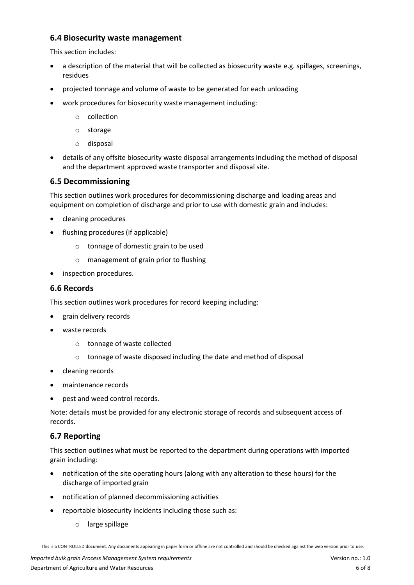#### <span id="page-5-0"></span>**6.4 Biosecurity waste management**

This section includes:

- a description of the material that will be collected as biosecurity waste e.g. spillages, screenings, residues
- projected tonnage and volume of waste to be generated for each unloading
- work procedures for biosecurity waste management including:
	- o collection
	- o storage
	- o disposal
- details of any offsite biosecurity waste disposal arrangements including the method of disposal and the department approved waste transporter and disposal site.

#### **6.5 Decommissioning**

This section outlines work procedures for decommissioning discharge and loading areas and equipment on completion of discharge and prior to use with domestic grain and includes:

- cleaning procedures
- flushing procedures (if applicable)
	- o tonnage of domestic grain to be used
	- o management of grain prior to flushing
- inspection procedures.

#### **6.6 Records**

This section outlines work procedures for record keeping including:

- grain delivery records
- waste records
	- o tonnage of waste collected
	- o tonnage of waste disposed including the date and method of disposal
- cleaning records
- maintenance records
- pest and weed control records.

Note: details must be provided for any electronic storage of records and subsequent access of records.

### **6.7 Reporting**

This section outlines what must be reported to the department during operations with imported grain including:

- notification of the site operating hours (along with any alteration to these hours) for the discharge of imported grain
- notification of planned decommissioning activities
- reportable biosecurity incidents including those such as:
	- o large spillage

This is a CONTROLLED document. Any documents appearing in paper form or offline are not controlled and should be checked against the web version prior to use.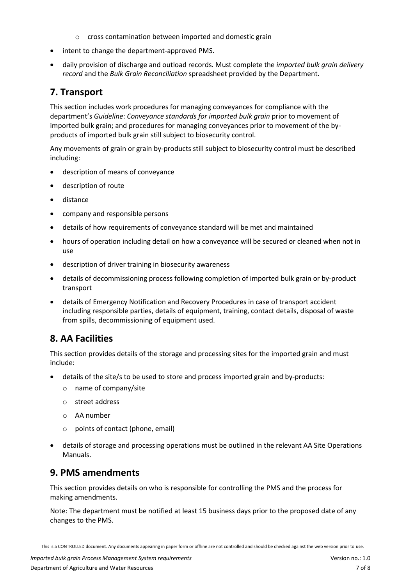- o cross contamination between imported and domestic grain
- intent to change the department-approved PMS.
- daily provision of discharge and outload records. Must complete the *imported bulk grain delivery record* and the *Bulk Grain Reconciliation* spreadsheet provided by the Department.

## <span id="page-6-0"></span>**7. Transport**

This section includes work procedures for managing conveyances for compliance with the department's *Guideline*: *Conveyance standards for imported bulk grain* prior to movement of imported bulk grain; and procedures for managing conveyances prior to movement of the byproducts of imported bulk grain still subject to biosecurity control.

Any movements of grain or grain by-products still subject to biosecurity control must be described including:

- description of means of conveyance
- description of route
- distance
- company and responsible persons
- details of how requirements of conveyance standard will be met and maintained
- hours of operation including detail on how a conveyance will be secured or cleaned when not in use
- description of driver training in biosecurity awareness
- details of decommissioning process following completion of imported bulk grain or by-product transport
- details of Emergency Notification and Recovery Procedures in case of transport accident including responsible parties, details of equipment, training, contact details, disposal of waste from spills, decommissioning of equipment used.

### <span id="page-6-1"></span>**8. AA Facilities**

This section provides details of the storage and processing sites for the imported grain and must include:

- details of the site/s to be used to store and process imported grain and by-products:
	- o name of company/site
	- o street address
	- o AA number
	- o points of contact (phone, email)
- details of storage and processing operations must be outlined in the relevant AA Site Operations Manuals.

### <span id="page-6-2"></span>**9. PMS amendments**

This section provides details on who is responsible for controlling the PMS and the process for making amendments.

Note: The department must be notified at least 15 business days prior to the proposed date of any changes to the PMS.

This is a CONTROLLED document. Any documents appearing in paper form or offline are not controlled and should be checked against the web version prior to use.